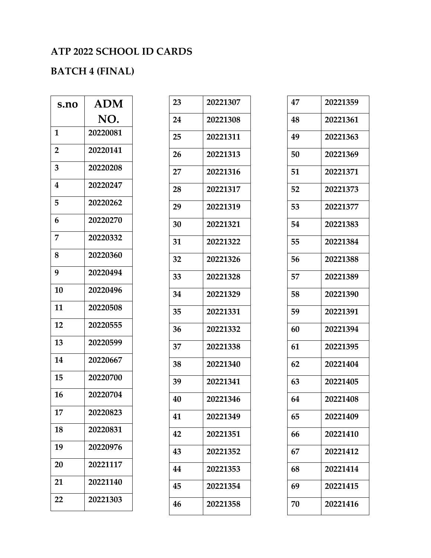## **ATP 2022 SCHOOL ID CARDS**

## **BATCH 4 (FINAL)**

| s.no           | <b>ADM</b> |
|----------------|------------|
|                | NO.        |
| 1              | 20220081   |
| $\overline{2}$ | 20220141   |
| 3              | 20220208   |
| 4              | 20220247   |
| 5              | 20220262   |
| 6              | 20220270   |
| 7              | 20220332   |
| 8              | 20220360   |
| 9              | 20220494   |
| 10             | 20220496   |
| 11             | 20220508   |
| 12             | 20220555   |
| 13             | 20220599   |
| 14             | 20220667   |
| 15             | 20220700   |
| 16             | 20220704   |
| 17             | 20220823   |
| 18             | 20220831   |
| 19             | 20220976   |
| 20             | 20221117   |
| 21             | 20221140   |
| 22             | 20221303   |

| 23 | 20221307 |
|----|----------|
| 24 | 20221308 |
| 25 | 20221311 |
| 26 | 20221313 |
| 27 | 20221316 |
| 28 | 20221317 |
| 29 | 20221319 |
| 30 | 20221321 |
| 31 | 20221322 |
| 32 | 20221326 |
| 33 | 20221328 |
| 34 | 20221329 |
| 35 | 20221331 |
| 36 | 20221332 |
| 37 | 20221338 |
| 38 | 20221340 |
| 39 | 20221341 |
| 40 | 20221346 |
| 41 | 20221349 |
| 42 | 20221351 |
| 43 | 20221352 |
| 44 | 20221353 |
| 45 | 20221354 |
| 46 | 20221358 |

| 47 | 20221359 |
|----|----------|
| 48 | 20221361 |
| 49 | 20221363 |
| 50 | 20221369 |
| 51 | 20221371 |
| 52 | 20221373 |
| 53 | 20221377 |
| 54 | 20221383 |
| 55 | 20221384 |
| 56 | 20221388 |
| 57 | 20221389 |
| 58 | 20221390 |
| 59 | 20221391 |
| 60 | 20221394 |
| 61 | 20221395 |
| 62 | 20221404 |
| 63 | 20221405 |
| 64 | 20221408 |
| 65 | 20221409 |
| 66 | 20221410 |
| 67 | 20221412 |
| 68 | 20221414 |
| 69 | 20221415 |
| 70 | 20221416 |